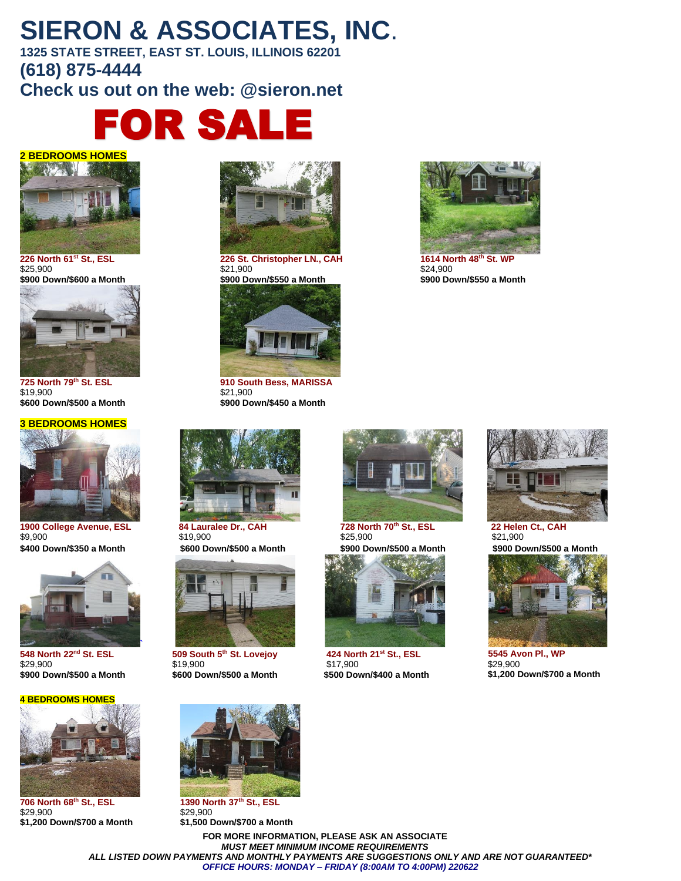# **SIERON & ASSOCIATES, INC**.

**1325 STATE STREET, EAST ST. LOUIS, ILLINOIS 62201 (618) 875-4444 Check us out on the web: @sieron.net**







\$19,900 \$21,900

#### **3 BEDROOMS HOMES**



**1900 College Avenue, ESL 84 Lauralee Dr., CAH 728 North 70<sup>th</sup> St., ESL 22 Helen Ct., CAH<br>\$9,900 \$25,900 \$25,900 \$25,900 \$21,900**  $$9,900$  \$25,900  $$21,900$ 



**548 North 22nd St. ESL**  \$29,900<br>**\$900 Down/\$500 a Month** 

#### **4 BEDROOMS HOMES**



**706 North 68th St., ESL 1390 North 37th St., ESL** \$29,900 \$29,900



**226 North 61st St., ESL 226 St. Christopher LN., CAH 1614 North 48th St. WP**  $$21,900$   $$24,900$ 



**725 North 79th St. ESL 910 South Bess, MARISSA \$600 Down/\$500 a Month \$900 Down/\$450 a Month** 





**509 South 5th St. Lovejoy**  \$19,900 **\$900 Down/\$500 a Month \$600 Down/\$500 a Month \$500 Down/\$400 a Month**





**424 North 21st St., ESL**  \$17,900<br>**\$500 Down/\$400 a Month** 



**\$900 Down/\$600 a Month \$900 Down/\$550 a Month \$900 Down/\$550 a Month**



**\$400 Down/\$350 a Month \$600 Down/\$500 a Month \$900 Down/\$500 a Month \$900 Down/\$500 a Month**



 **5545 Avon Pl., WP** \$29,900 **\$1,200 Down/\$700 a Month** 



**\$1,200 Down/\$700 a Month \$1,500 Down/\$700 a Month**

**FOR MORE INFORMATION, PLEASE ASK AN ASSOCIATE** *MUST MEET MINIMUM INCOME REQUIREMENTS ALL LISTED DOWN PAYMENTS AND MONTHLY PAYMENTS ARE SUGGESTIONS ONLY AND ARE NOT GUARANTEED\* OFFICE HOURS: MONDAY – FRIDAY (8:00AM TO 4:00PM) 220622*